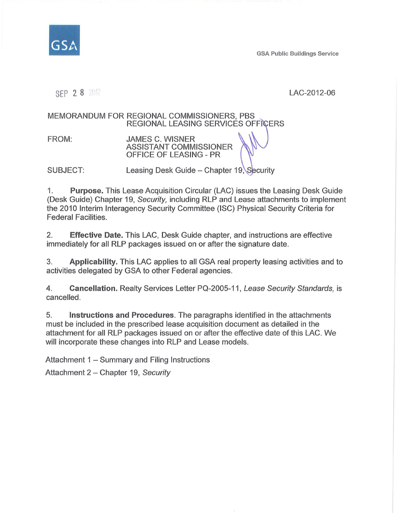

GSA Public Buildings Service

SEP 2 8 LAC-2012-06

#### REGIONAL LEASING SERVICES OFFIÇERS MEMORANDUM FOR REGIONAL COMMISSIONERS, PBS

FROM: JAMES C. WISNER ASSISTANT COMMISSIONER OFFICE OF LEASING - PR

SUBJECT: Leasing Desk Guide – Chapter 19, Security

1. Purpose. This Lease Acquisition Circular (LAC) issues the Leasing Desk Guide (Desk Guide) Chapter 19, Security, including RLP and Lease attachments to implement the 2010 Interim Interagency Security Committee (ISC) Physical Security Criteria for Federal Facilities.

2. Effective Date. This LAC, Desk Guide chapter, and instructions are effective immediately for all RLP packages issued on or after the signature date.

3. Applicability. This LAC applies to all GSA real property leasing activities and to activities delegated by GSA to other Federal agencies.

4. Cancellation. Realty Services Letter PQ-2005-11, Lease Security Standards, is cancelled.

5. Instructions and Procedures. The paragraphs identified in the attachments must be included in the prescribed lease acquisition document as detailed in the attachment for all RLP packages issued on or after the effective date of this LAC. We will incorporate these changes into RLP and Lease models.

Attachment  $1 -$  Summary and Filing Instructions

Attachment 2 - Chapter 19, Security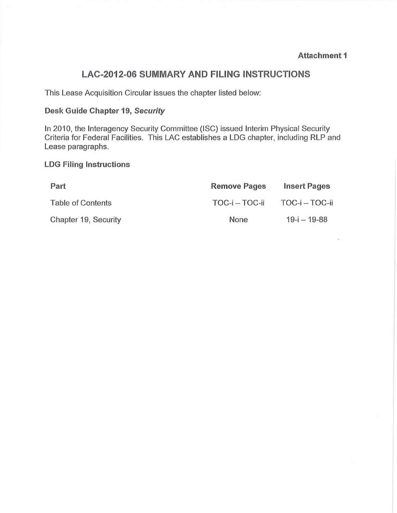## **LAC-2012-06 SUMMARY AND FILING INSTRUCTIONS**

This Lease Acquisition Circular issues the chapter listed below:

# **Desk Guide Chapter 19, Security**

In 2010, the Interagency Security Committee (ISC) issued Interim Physical Security Criteria for Federal Facilities. This LAC establishes a LOG chapter, including RLP and Lease paragraphs.

#### **LDG Filing Instructions**

| Part                 | <b>Remove Pages</b> | <b>Insert Pages</b> |
|----------------------|---------------------|---------------------|
| Table of Contents    | TOC-i – TOC-ii      | TOC-i – TOC-ii      |
| Chapter 19, Security | None                | $19 - i - 19 - 88$  |